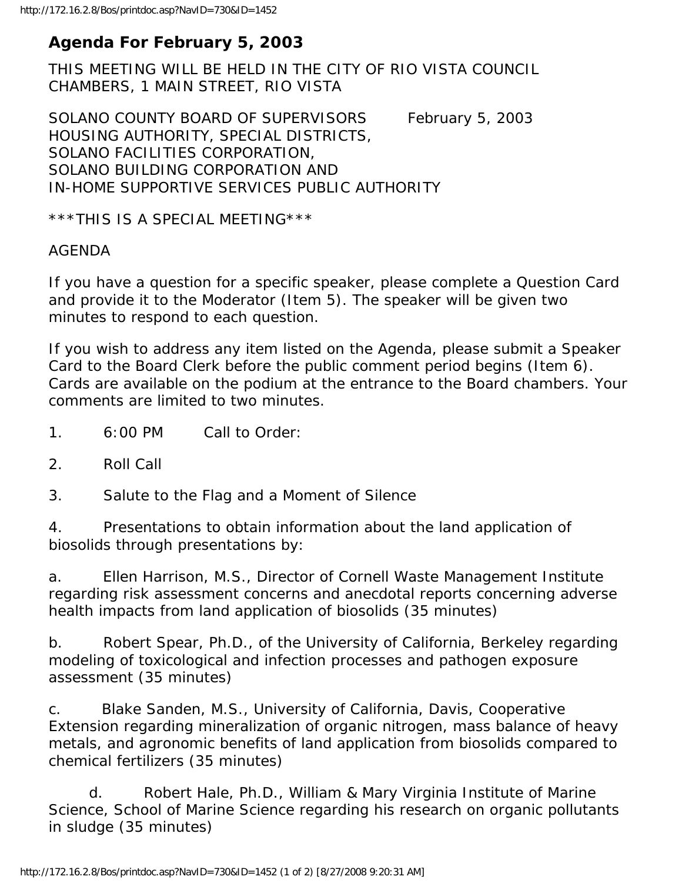## **Agenda For February 5, 2003**

THIS MEETING WILL BE HELD IN THE CITY OF RIO VISTA COUNCIL CHAMBERS, 1 MAIN STREET, RIO VISTA

SOLANO COUNTY BOARD OF SUPERVISORS February 5, 2003 HOUSING AUTHORITY, SPECIAL DISTRICTS, SOLANO FACILITIES CORPORATION, SOLANO BUILDING CORPORATION AND IN-HOME SUPPORTIVE SERVICES PUBLIC AUTHORITY

\*\*\*THIS IS A SPECIAL MEETING\*\*\*

## AGENDA

If you have a question for a specific speaker, please complete a Question Card and provide it to the Moderator (Item 5). The speaker will be given two minutes to respond to each question.

If you wish to address any item listed on the Agenda, please submit a Speaker Card to the Board Clerk before the public comment period begins (Item 6). Cards are available on the podium at the entrance to the Board chambers. Your comments are limited to two minutes.

- 1. 6:00 PM Call to Order:
- 2. Roll Call

3. Salute to the Flag and a Moment of Silence

4. Presentations to obtain information about the land application of biosolids through presentations by:

a. Ellen Harrison, M.S., Director of Cornell Waste Management Institute regarding risk assessment concerns and anecdotal reports concerning adverse health impacts from land application of biosolids (35 minutes)

b. Robert Spear, Ph.D., of the University of California, Berkeley regarding modeling of toxicological and infection processes and pathogen exposure assessment (35 minutes)

c. Blake Sanden, M.S., University of California, Davis, Cooperative Extension regarding mineralization of organic nitrogen, mass balance of heavy metals, and agronomic benefits of land application from biosolids compared to chemical fertilizers (35 minutes)

 d. Robert Hale, Ph.D., William & Mary Virginia Institute of Marine Science, School of Marine Science regarding his research on organic pollutants in sludge (35 minutes)